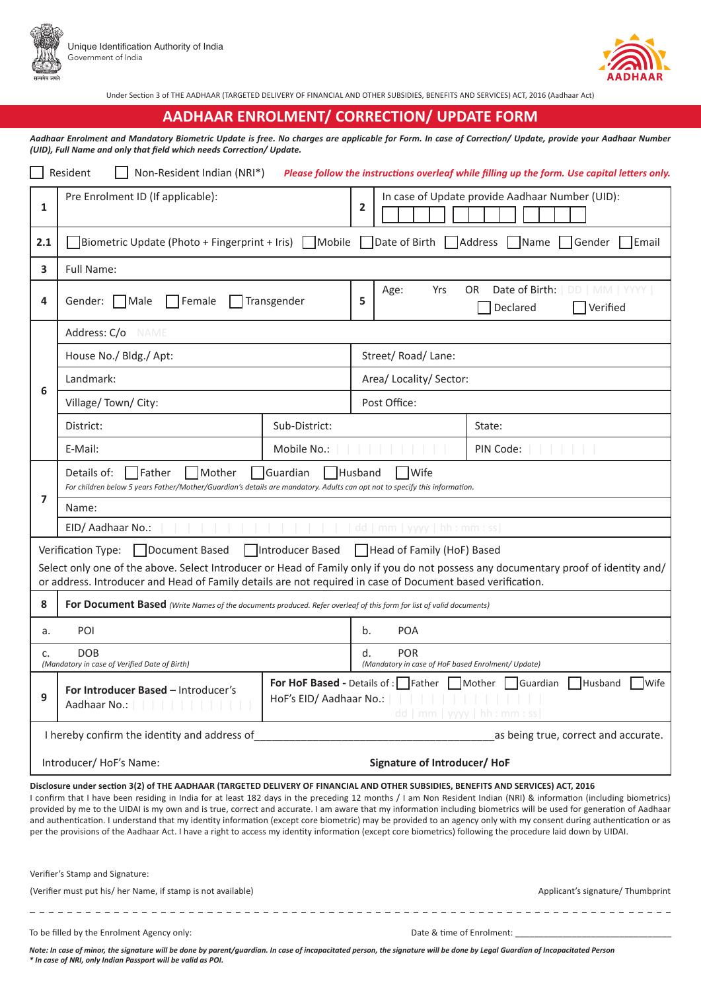





Under Section 3 of THE AADHAAR (TARGETED DELIVERY OF FINANCIAL AND OTHER SUBSIDIES, BENEFITS AND SERVICES) ACT, 2016 (Aadhaar Act)

## **AADHAAR ENROLMENT/ CORRECTION/ UPDATE FORM**

*Aadhaar Enrolment and Mandatory Biometric Update is free. No charges are applicable for Form. In case of Correction/ Update, provide your Aadhaar Number (UID), Full Name and only that field which needs Correction/ Update.*

| Resident<br>Non-Resident Indian (NRI*)<br>Please follow the instructions overleaf while filling up the form. Use capital letters only.                                                                                                                                                                                                                                                                                                                                                                                                                                                                                                                                                                                                                                                                                  |                                                                                                                                                                                               |                    |                                                                                                                                                      |                                     |                                      |  |
|-------------------------------------------------------------------------------------------------------------------------------------------------------------------------------------------------------------------------------------------------------------------------------------------------------------------------------------------------------------------------------------------------------------------------------------------------------------------------------------------------------------------------------------------------------------------------------------------------------------------------------------------------------------------------------------------------------------------------------------------------------------------------------------------------------------------------|-----------------------------------------------------------------------------------------------------------------------------------------------------------------------------------------------|--------------------|------------------------------------------------------------------------------------------------------------------------------------------------------|-------------------------------------|--------------------------------------|--|
| 1                                                                                                                                                                                                                                                                                                                                                                                                                                                                                                                                                                                                                                                                                                                                                                                                                       | Pre Enrolment ID (If applicable):                                                                                                                                                             |                    | In case of Update provide Aadhaar Number (UID):<br>$\overline{2}$                                                                                    |                                     |                                      |  |
| 2.1                                                                                                                                                                                                                                                                                                                                                                                                                                                                                                                                                                                                                                                                                                                                                                                                                     | Biometric Update (Photo + Fingerprint + Iris) $\Box$ Mobile $\Box$ Date of Birth $\Box$ Address $\Box$ Name $\Box$ Gender<br>Email                                                            |                    |                                                                                                                                                      |                                     |                                      |  |
| 3                                                                                                                                                                                                                                                                                                                                                                                                                                                                                                                                                                                                                                                                                                                                                                                                                       | Full Name:                                                                                                                                                                                    |                    |                                                                                                                                                      |                                     |                                      |  |
| 4                                                                                                                                                                                                                                                                                                                                                                                                                                                                                                                                                                                                                                                                                                                                                                                                                       | Gender: □ Male<br>$\Box$ Female                                                                                                                                                               | $\Box$ Transgender | Date of Birth:<br>Yrs<br>OR<br>Age:<br>DD   MM   YYYY<br>5<br>Verified<br>Declared                                                                   |                                     |                                      |  |
|                                                                                                                                                                                                                                                                                                                                                                                                                                                                                                                                                                                                                                                                                                                                                                                                                         | Address: C/o<br><b>NAME</b>                                                                                                                                                                   |                    |                                                                                                                                                      |                                     |                                      |  |
|                                                                                                                                                                                                                                                                                                                                                                                                                                                                                                                                                                                                                                                                                                                                                                                                                         | House No./ Bldg./ Apt:                                                                                                                                                                        |                    | Street/Road/Lane:                                                                                                                                    |                                     |                                      |  |
|                                                                                                                                                                                                                                                                                                                                                                                                                                                                                                                                                                                                                                                                                                                                                                                                                         | Landmark:                                                                                                                                                                                     |                    | Area/ Locality/ Sector:                                                                                                                              |                                     |                                      |  |
| 6                                                                                                                                                                                                                                                                                                                                                                                                                                                                                                                                                                                                                                                                                                                                                                                                                       | Village/Town/City:                                                                                                                                                                            |                    | Post Office:                                                                                                                                         |                                     |                                      |  |
|                                                                                                                                                                                                                                                                                                                                                                                                                                                                                                                                                                                                                                                                                                                                                                                                                         | District:                                                                                                                                                                                     | Sub-District:      |                                                                                                                                                      |                                     | State:                               |  |
|                                                                                                                                                                                                                                                                                                                                                                                                                                                                                                                                                                                                                                                                                                                                                                                                                         | E-Mail:                                                                                                                                                                                       | Mobile No.:        |                                                                                                                                                      |                                     | PIN Code:                            |  |
|                                                                                                                                                                                                                                                                                                                                                                                                                                                                                                                                                                                                                                                                                                                                                                                                                         | Father<br>Mother<br>Guardian<br>Husband<br> Wife<br>Details of:<br>For children below 5 years Father/Mother/Guardian's details are mandatory. Adults can opt not to specify this information. |                    |                                                                                                                                                      |                                     |                                      |  |
| 7                                                                                                                                                                                                                                                                                                                                                                                                                                                                                                                                                                                                                                                                                                                                                                                                                       | Name:                                                                                                                                                                                         |                    |                                                                                                                                                      |                                     |                                      |  |
|                                                                                                                                                                                                                                                                                                                                                                                                                                                                                                                                                                                                                                                                                                                                                                                                                         | EID/ Aadhaar No.:<br>dd   mm   yyyy   hh : mm : ss                                                                                                                                            |                    |                                                                                                                                                      |                                     |                                      |  |
| Document Based<br>  Introducer Based<br>  Head of Family (HoF) Based<br>Verification Type:                                                                                                                                                                                                                                                                                                                                                                                                                                                                                                                                                                                                                                                                                                                              |                                                                                                                                                                                               |                    |                                                                                                                                                      |                                     |                                      |  |
| Select only one of the above. Select Introducer or Head of Family only if you do not possess any documentary proof of identity and/<br>or address. Introducer and Head of Family details are not required in case of Document based verification.                                                                                                                                                                                                                                                                                                                                                                                                                                                                                                                                                                       |                                                                                                                                                                                               |                    |                                                                                                                                                      |                                     |                                      |  |
| 8                                                                                                                                                                                                                                                                                                                                                                                                                                                                                                                                                                                                                                                                                                                                                                                                                       | For Document Based (Write Names of the documents produced. Refer overleaf of this form for list of valid documents)                                                                           |                    |                                                                                                                                                      |                                     |                                      |  |
| a.                                                                                                                                                                                                                                                                                                                                                                                                                                                                                                                                                                                                                                                                                                                                                                                                                      | POI                                                                                                                                                                                           |                    | b.<br><b>POA</b>                                                                                                                                     |                                     |                                      |  |
| c.                                                                                                                                                                                                                                                                                                                                                                                                                                                                                                                                                                                                                                                                                                                                                                                                                      | DOB<br>(Mandatory in case of Verified Date of Birth)                                                                                                                                          |                    | d.<br><b>POR</b><br>(Mandatory in case of HoF based Enrolment/ Update)                                                                               |                                     |                                      |  |
| 9                                                                                                                                                                                                                                                                                                                                                                                                                                                                                                                                                                                                                                                                                                                                                                                                                       | For Introducer Based - Introducer's<br>Aadhaar No.:                                                                                                                                           |                    | <b>For HoF Based - Details of:</b> Father Mother Guardian<br>Husband<br><b>Wife</b><br>HoF's EID/ Aadhaar No.:<br>$vwv \mid hh : mm : ss$<br>dd I mm |                                     |                                      |  |
|                                                                                                                                                                                                                                                                                                                                                                                                                                                                                                                                                                                                                                                                                                                                                                                                                         | I hereby confirm the identity and address of                                                                                                                                                  |                    |                                                                                                                                                      |                                     | as being true, correct and accurate. |  |
|                                                                                                                                                                                                                                                                                                                                                                                                                                                                                                                                                                                                                                                                                                                                                                                                                         | Introducer/ HoF's Name:                                                                                                                                                                       |                    |                                                                                                                                                      | <b>Signature of Introducer/ HoF</b> |                                      |  |
| Disclosure under section 3(2) of THE AADHAAR (TARGETED DELIVERY OF FINANCIAL AND OTHER SUBSIDIES, BENEFITS AND SERVICES) ACT, 2016<br>I confirm that I have been residing in India for at least 182 days in the preceding 12 months / I am Non Resident Indian (NRI) & information (including biometrics)<br>provided by me to the UIDAI is my own and is true, correct and accurate. I am aware that my information including biometrics will be used for generation of Aadhaar<br>and authentication. I understand that my identity information (except core biometric) may be provided to an agency only with my consent during authentication or as<br>per the provisions of the Aadhaar Act. I have a right to access my identity information (except core biometrics) following the procedure laid down by UIDAI. |                                                                                                                                                                                               |                    |                                                                                                                                                      |                                     |                                      |  |
| Verifier's Stamp and Signature:                                                                                                                                                                                                                                                                                                                                                                                                                                                                                                                                                                                                                                                                                                                                                                                         |                                                                                                                                                                                               |                    |                                                                                                                                                      |                                     |                                      |  |
| (Verifier must put his/ her Name, if stamp is not available)<br>Applicant's signature/ Thumbprint                                                                                                                                                                                                                                                                                                                                                                                                                                                                                                                                                                                                                                                                                                                       |                                                                                                                                                                                               |                    |                                                                                                                                                      |                                     |                                      |  |
|                                                                                                                                                                                                                                                                                                                                                                                                                                                                                                                                                                                                                                                                                                                                                                                                                         | To be filled by the Enrolment Agency only:                                                                                                                                                    |                    |                                                                                                                                                      | Date & time of Enrolment:           |                                      |  |

*Note: In case of minor, the signature will be done by parent/guardian. In case of incapacitated person, the signature will be done by Legal Guardian of Incapacitated Person \* In case of NRI, only Indian Passport will be valid as POI.*